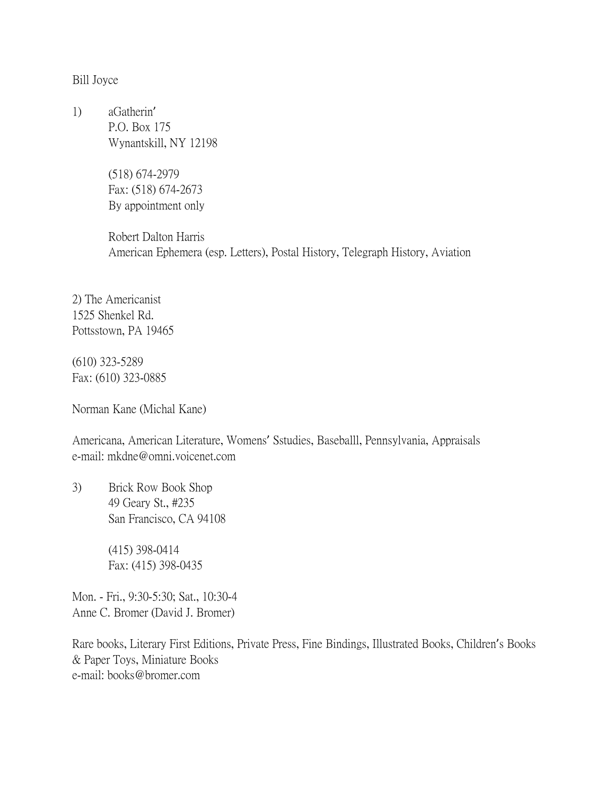Bill Joyce

1) aGatherin' P.O. Box 175 Wynantskill, NY 12198

> (518) 674-2979 Fax: (518) 674-2673 By appointment only

Robert Dalton Harris American Ephemera (esp. Letters), Postal History, Telegraph History, Aviation

2) The Americanist 1525 Shenkel Rd. Pottsstown, PA 19465

(610) 323-5289 Fax: (610) 323-0885

Norman Kane (Michal Kane)

Americana, American Literature, Womens' Sstudies, Baseballl, Pennsylvania, Appraisals e-mail: mkdne@omni.voicenet.com

3) Brick Row Book Shop 49 Geary St., #235 San Francisco, CA 94108

> (415) 398-0414 Fax: (415) 398-0435

Mon. - Fri., 9:30-5:30; Sat., 10:30-4 Anne C. Bromer (David J. Bromer)

Rare books, Literary First Editions, Private Press, Fine Bindings, Illustrated Books, Children's Books & Paper Toys, Miniature Books e-mail: books@bromer.com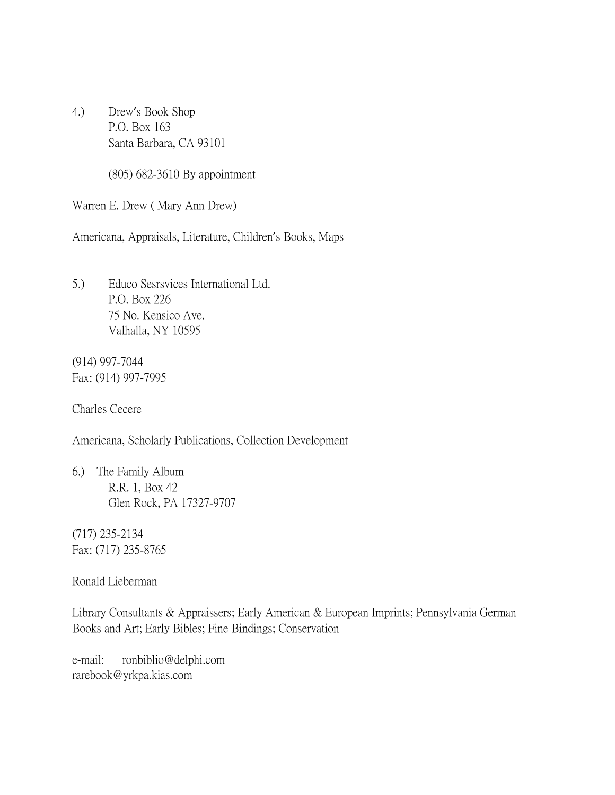4.) Drew's Book Shop P.O. Box 163 Santa Barbara, CA 93101

(805) 682-3610 By appointment

Warren E. Drew ( Mary Ann Drew)

Americana, Appraisals, Literature, Children's Books, Maps

5.) Educo Sesrsvices International Ltd. P.O. Box 226 75 No. Kensico Ave. Valhalla, NY 10595

(914) 997-7044 Fax: (914) 997-7995

Charles Cecere

Americana, Scholarly Publications, Collection Development

6.) The Family Album R.R. 1, Box 42 Glen Rock, PA 17327-9707

(717) 235-2134 Fax: (717) 235-8765

Ronald Lieberman

Library Consultants & Appraissers; Early American & European Imprints; Pennsylvania German Books and Art; Early Bibles; Fine Bindings; Conservation

e-mail: ronbiblio@delphi.com rarebook@yrkpa.kias.com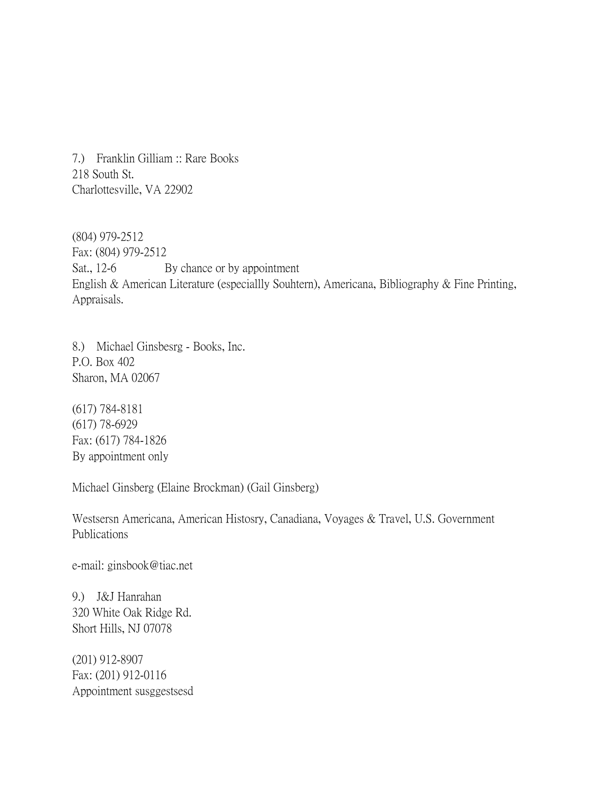7.) Franklin Gilliam :: Rare Books 218 South St. Charlottesville, VA 22902

(804) 979-2512 Fax: (804) 979-2512 Sat., 12-6 By chance or by appointment English & American Literature (especiallly Souhtern), Americana, Bibliography & Fine Printing, Appraisals.

8.) Michael Ginsbesrg - Books, Inc. P.O. Box 402 Sharon, MA 02067

(617) 784-8181 (617) 78-6929 Fax: (617) 784-1826 By appointment only

Michael Ginsberg (Elaine Brockman) (Gail Ginsberg)

Westsersn Americana, American Histosry, Canadiana, Voyages & Travel, U.S. Government Publications

e-mail: ginsbook@tiac.net

9.) J&J Hanrahan 320 White Oak Ridge Rd. Short Hills, NJ 07078

(201) 912-8907 Fax: (201) 912-0116 Appointment susggestsesd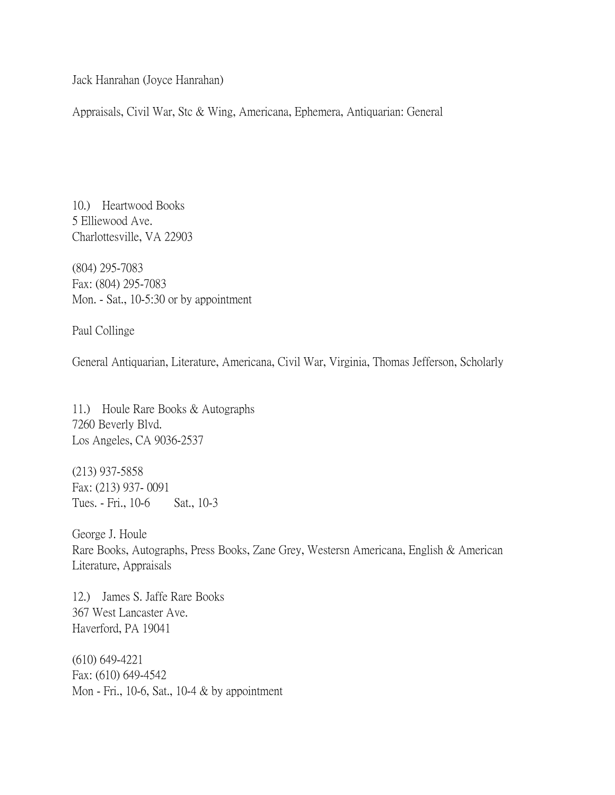Jack Hanrahan (Joyce Hanrahan)

Appraisals, Civil War, Stc & Wing, Americana, Ephemera, Antiquarian: General

10.) Heartwood Books 5 Elliewood Ave. Charlottesville, VA 22903

(804) 295-7083 Fax: (804) 295-7083 Mon. - Sat., 10-5:30 or by appointment

Paul Collinge

General Antiquarian, Literature, Americana, Civil War, Virginia, Thomas Jefferson, Scholarly

11.) Houle Rare Books & Autographs 7260 Beverly Blvd. Los Angeles, CA 9036-2537

(213) 937-5858 Fax: (213) 937- 0091 Tues. - Fri., 10-6 Sat., 10-3

George J. Houle Rare Books, Autographs, Press Books, Zane Grey, Westersn Americana, English & American Literature, Appraisals

12.) James S. Jaffe Rare Books 367 West Lancaster Ave. Haverford, PA 19041

(610) 649-4221 Fax: (610) 649-4542 Mon - Fri., 10-6, Sat., 10-4 & by appointment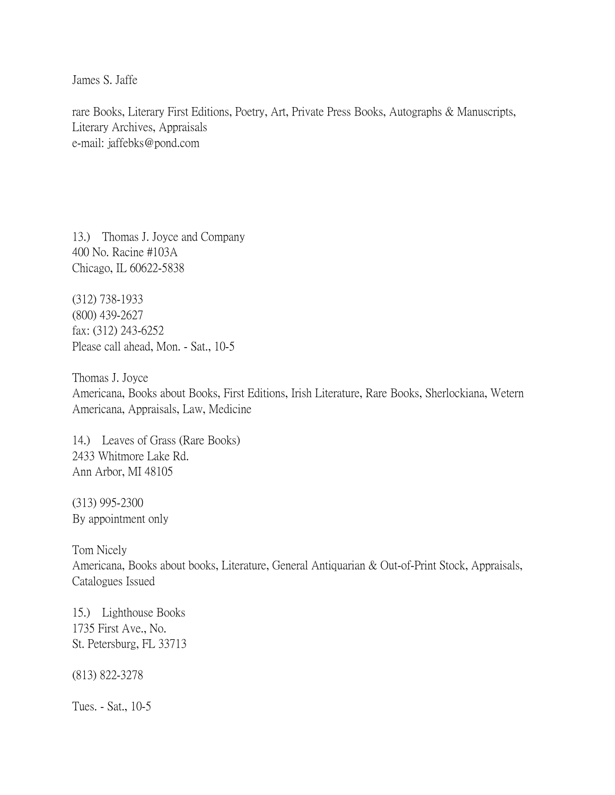James S. Jaffe

rare Books, Literary First Editions, Poetry, Art, Private Press Books, Autographs & Manuscripts, Literary Archives, Appraisals e-mail: jaffebks@pond.com

13.) Thomas J. Joyce and Company 400 No. Racine #103A Chicago, IL 60622-5838

(312) 738-1933 (800) 439-2627 fax: (312) 243-6252 Please call ahead, Mon. - Sat., 10-5

Thomas J. Joyce Americana, Books about Books, First Editions, Irish Literature, Rare Books, Sherlockiana, Wetern Americana, Appraisals, Law, Medicine

14.) Leaves of Grass (Rare Books) 2433 Whitmore Lake Rd. Ann Arbor, MI 48105

(313) 995-2300 By appointment only

Tom Nicely Americana, Books about books, Literature, General Antiquarian & Out-of-Print Stock, Appraisals, Catalogues Issued

15.) Lighthouse Books 1735 First Ave., No. St. Petersburg, FL 33713

(813) 822-3278

Tues. - Sat., 10-5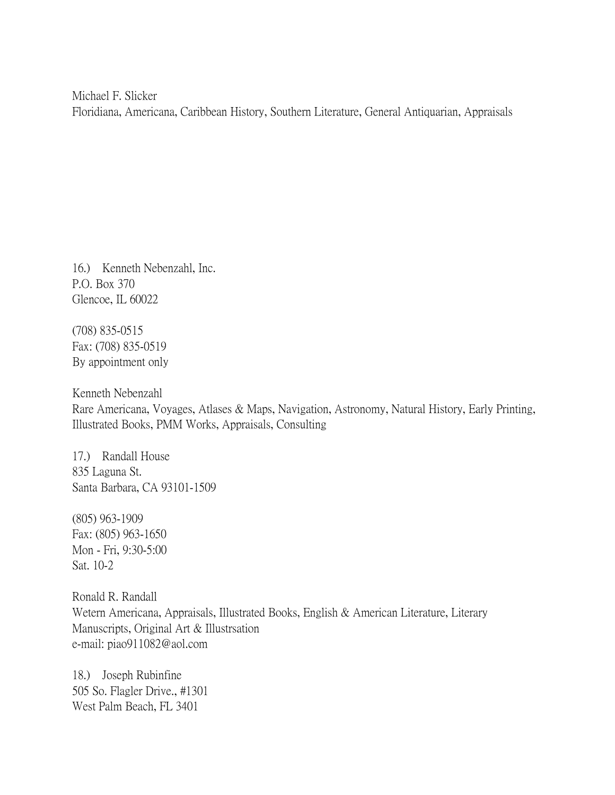Michael F. Slicker Floridiana, Americana, Caribbean History, Southern Literature, General Antiquarian, Appraisals

16.) Kenneth Nebenzahl, Inc. P.O. Box 370 Glencoe, IL 60022

(708) 835-0515 Fax: (708) 835-0519 By appointment only

Kenneth Nebenzahl Rare Americana, Voyages, Atlases & Maps, Navigation, Astronomy, Natural History, Early Printing, Illustrated Books, PMM Works, Appraisals, Consulting

17.) Randall House 835 Laguna St. Santa Barbara, CA 93101-1509

(805) 963-1909 Fax: (805) 963-1650 Mon - Fri, 9:30-5:00 Sat. 10-2

Ronald R. Randall Wetern Americana, Appraisals, Illustrated Books, English & American Literature, Literary Manuscripts, Original Art & Illustrsation e-mail: piao911082@aol.com

18.) Joseph Rubinfine 505 So. Flagler Drive., #1301 West Palm Beach, FL 3401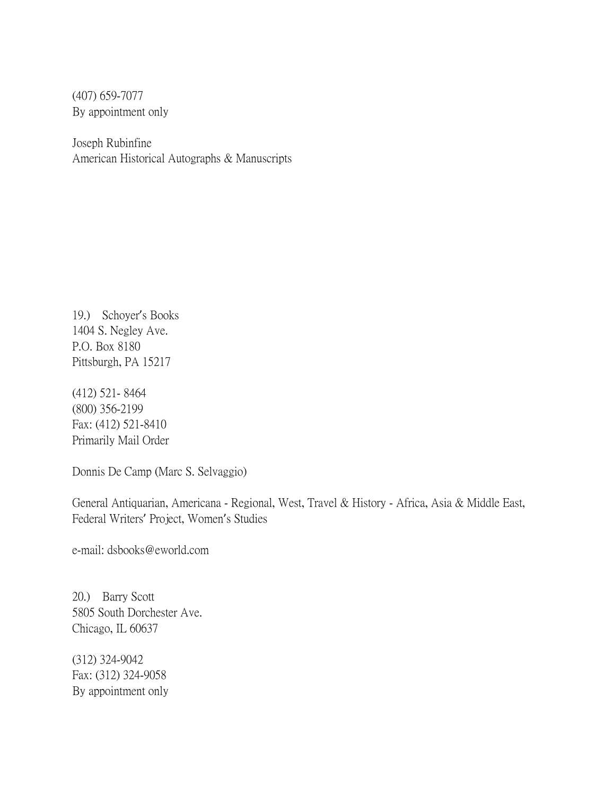(407) 659-7077 By appointment only

Joseph Rubinfine American Historical Autographs & Manuscripts

19.) Schoyer's Books 1404 S. Negley Ave. P.O. Box 8180 Pittsburgh, PA 15217

(412) 521- 8464 (800) 356-2199 Fax: (412) 521-8410 Primarily Mail Order

Donnis De Camp (Marc S. Selvaggio)

General Antiquarian, Americana - Regional, West, Travel & History - Africa, Asia & Middle East, Federal Writers' Project, Women's Studies

e-mail: dsbooks@eworld.com

20.) Barry Scott 5805 South Dorchester Ave. Chicago, IL 60637

(312) 324-9042 Fax: (312) 324-9058 By appointment only